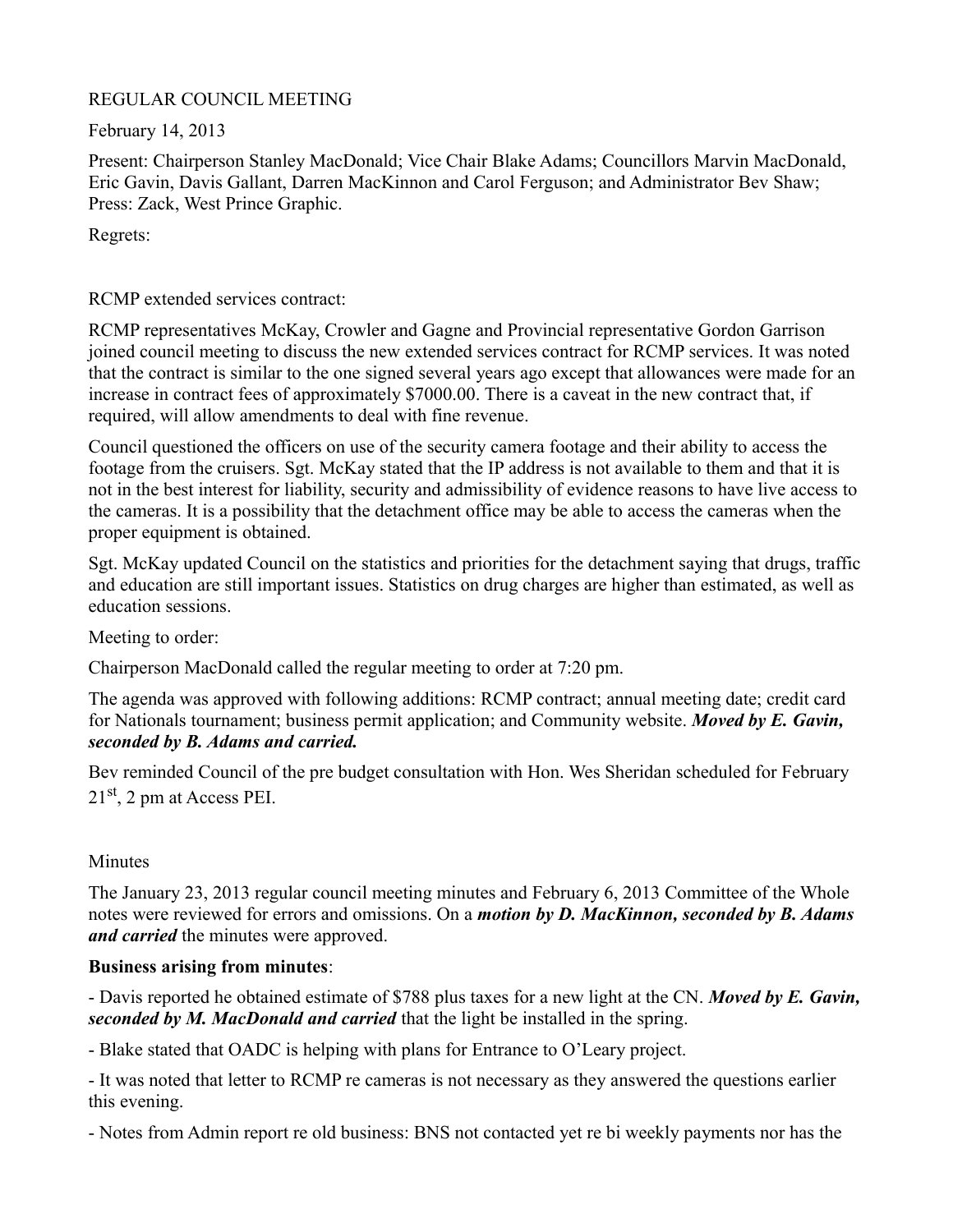## REGULAR COUNCIL MEETING

February 14, 2013

Present: Chairperson Stanley MacDonald; Vice Chair Blake Adams; Councillors Marvin MacDonald, Eric Gavin, Davis Gallant, Darren MacKinnon and Carol Ferguson; and Administrator Bev Shaw; Press: Zack, West Prince Graphic.

Regrets:

RCMP extended services contract:

RCMP representatives McKay, Crowler and Gagne and Provincial representative Gordon Garrison joined council meeting to discuss the new extended services contract for RCMP services. It was noted that the contract is similar to the one signed several years ago except that allowances were made for an increase in contract fees of approximately \$7000.00. There is a caveat in the new contract that, if required, will allow amendments to deal with fine revenue.

Council questioned the officers on use of the security camera footage and their ability to access the footage from the cruisers. Sgt. McKay stated that the IP address is not available to them and that it is not in the best interest for liability, security and admissibility of evidence reasons to have live access to the cameras. It is a possibility that the detachment office may be able to access the cameras when the proper equipment is obtained.

Sgt. McKay updated Council on the statistics and priorities for the detachment saying that drugs, traffic and education are still important issues. Statistics on drug charges are higher than estimated, as well as education sessions.

Meeting to order:

Chairperson MacDonald called the regular meeting to order at 7:20 pm.

The agenda was approved with following additions: RCMP contract; annual meeting date; credit card for Nationals tournament; business permit application; and Community website. *Moved by E. Gavin, seconded by B. Adams and carried.*

Bev reminded Council of the pre budget consultation with Hon. Wes Sheridan scheduled for February  $21<sup>st</sup>$ , 2 pm at Access PEI.

# **Minutes**

The January 23, 2013 regular council meeting minutes and February 6, 2013 Committee of the Whole notes were reviewed for errors and omissions. On a *motion by D. MacKinnon, seconded by B. Adams and carried* the minutes were approved.

# **Business arising from minutes**:

- Davis reported he obtained estimate of \$788 plus taxes for a new light at the CN. *Moved by E. Gavin, seconded by M. MacDonald and carried* that the light be installed in the spring.

- Blake stated that OADC is helping with plans for Entrance to O'Leary project.

- It was noted that letter to RCMP re cameras is not necessary as they answered the questions earlier this evening.

- Notes from Admin report re old business: BNS not contacted yet re bi weekly payments nor has the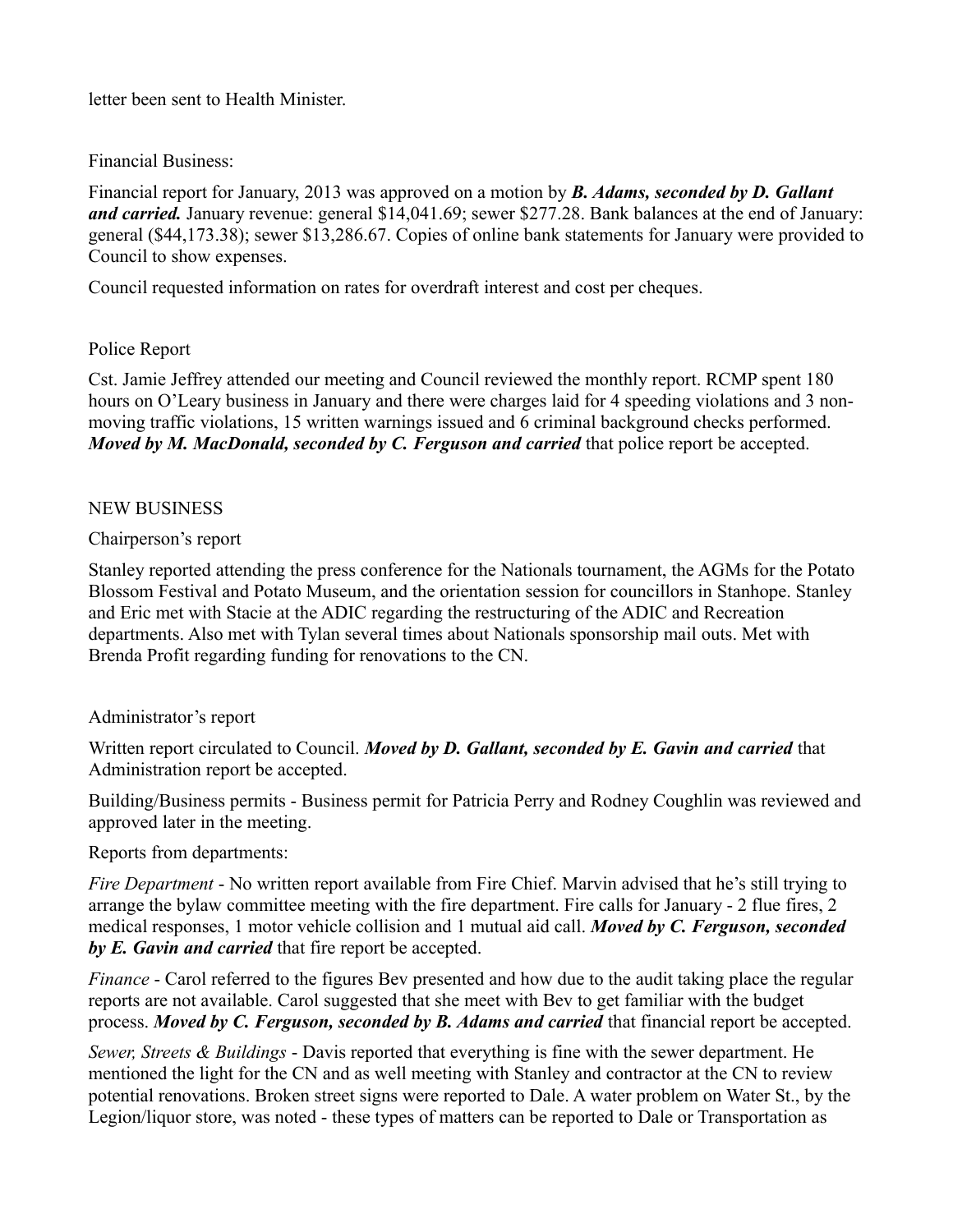letter been sent to Health Minister.

Financial Business:

Financial report for January, 2013 was approved on a motion by *B. Adams, seconded by D. Gallant and carried.* January revenue: general \$14,041.69; sewer \$277.28. Bank balances at the end of January: general (\$44,173.38); sewer \$13,286.67. Copies of online bank statements for January were provided to Council to show expenses.

Council requested information on rates for overdraft interest and cost per cheques.

## Police Report

Cst. Jamie Jeffrey attended our meeting and Council reviewed the monthly report. RCMP spent 180 hours on O'Leary business in January and there were charges laid for 4 speeding violations and 3 nonmoving traffic violations, 15 written warnings issued and 6 criminal background checks performed. *Moved by M. MacDonald, seconded by C. Ferguson and carried that police report be accepted.* 

## NEW BUSINESS

#### Chairperson's report

Stanley reported attending the press conference for the Nationals tournament, the AGMs for the Potato Blossom Festival and Potato Museum, and the orientation session for councillors in Stanhope. Stanley and Eric met with Stacie at the ADIC regarding the restructuring of the ADIC and Recreation departments. Also met with Tylan several times about Nationals sponsorship mail outs. Met with Brenda Profit regarding funding for renovations to the CN.

## Administrator's report

Written report circulated to Council. *Moved by D. Gallant, seconded by E. Gavin and carried* that Administration report be accepted.

Building/Business permits - Business permit for Patricia Perry and Rodney Coughlin was reviewed and approved later in the meeting.

Reports from departments:

*Fire Department* - No written report available from Fire Chief. Marvin advised that he's still trying to arrange the bylaw committee meeting with the fire department. Fire calls for January - 2 flue fires, 2 medical responses, 1 motor vehicle collision and 1 mutual aid call. *Moved by C. Ferguson, seconded by E. Gavin and carried* that fire report be accepted.

*Finance* - Carol referred to the figures Bev presented and how due to the audit taking place the regular reports are not available. Carol suggested that she meet with Bev to get familiar with the budget process. *Moved by C. Ferguson, seconded by B. Adams and carried* that financial report be accepted.

*Sewer, Streets & Buildings* - Davis reported that everything is fine with the sewer department. He mentioned the light for the CN and as well meeting with Stanley and contractor at the CN to review potential renovations. Broken street signs were reported to Dale. A water problem on Water St., by the Legion/liquor store, was noted - these types of matters can be reported to Dale or Transportation as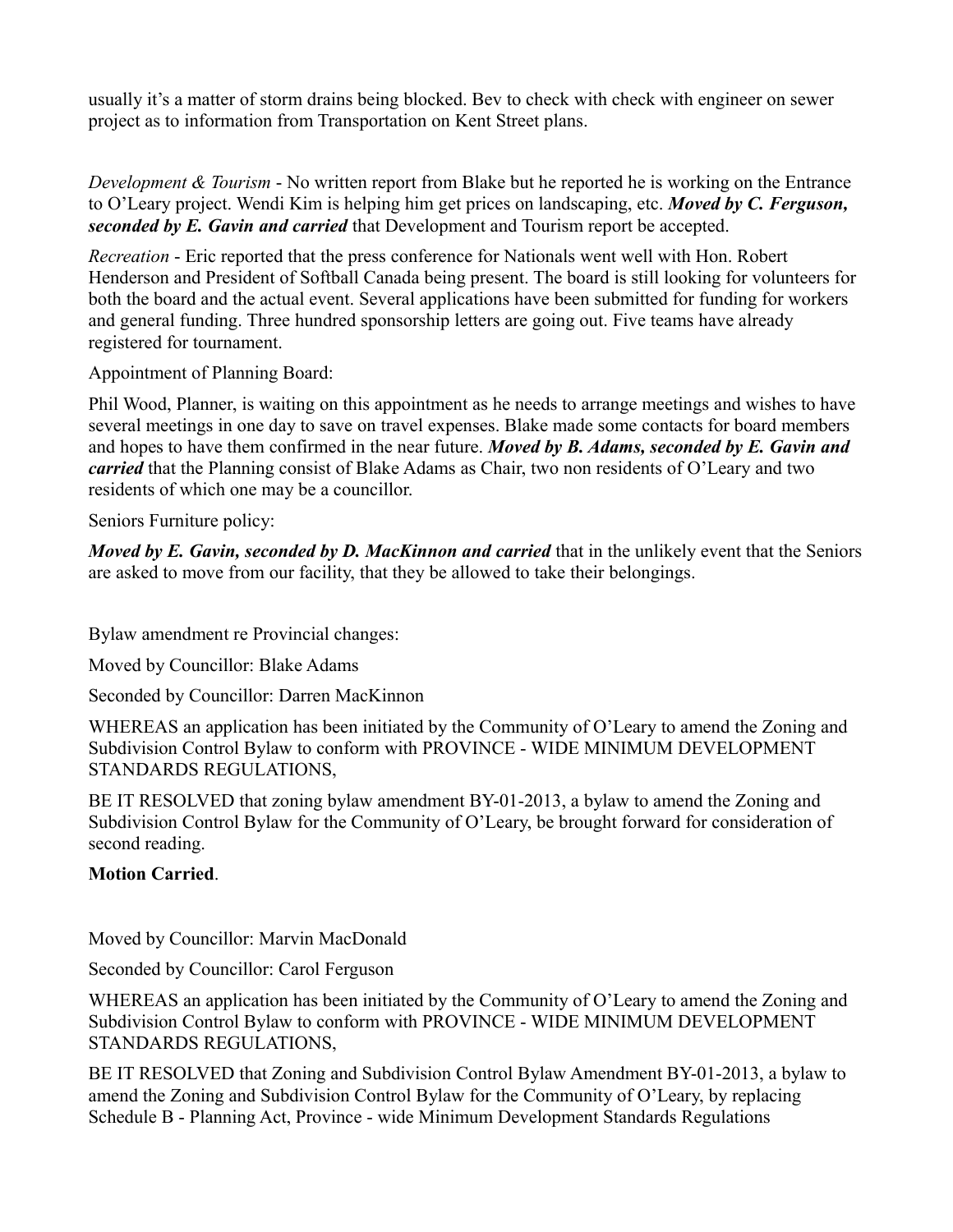usually it's a matter of storm drains being blocked. Bev to check with check with engineer on sewer project as to information from Transportation on Kent Street plans.

*Development & Tourism* - No written report from Blake but he reported he is working on the Entrance to O'Leary project. Wendi Kim is helping him get prices on landscaping, etc. *Moved by C. Ferguson, seconded by E. Gavin and carried* that Development and Tourism report be accepted.

*Recreation* - Eric reported that the press conference for Nationals went well with Hon. Robert Henderson and President of Softball Canada being present. The board is still looking for volunteers for both the board and the actual event. Several applications have been submitted for funding for workers and general funding. Three hundred sponsorship letters are going out. Five teams have already registered for tournament.

Appointment of Planning Board:

Phil Wood, Planner, is waiting on this appointment as he needs to arrange meetings and wishes to have several meetings in one day to save on travel expenses. Blake made some contacts for board members and hopes to have them confirmed in the near future. *Moved by B. Adams, seconded by E. Gavin and carried* that the Planning consist of Blake Adams as Chair, two non residents of O'Leary and two residents of which one may be a councillor.

Seniors Furniture policy:

*Moved by E. Gavin, seconded by D. MacKinnon and carried* that in the unlikely event that the Seniors are asked to move from our facility, that they be allowed to take their belongings.

Bylaw amendment re Provincial changes:

Moved by Councillor: Blake Adams

Seconded by Councillor: Darren MacKinnon

WHEREAS an application has been initiated by the Community of O'Leary to amend the Zoning and Subdivision Control Bylaw to conform with PROVINCE - WIDE MINIMUM DEVELOPMENT STANDARDS REGULATIONS,

BE IT RESOLVED that zoning bylaw amendment BY-01-2013, a bylaw to amend the Zoning and Subdivision Control Bylaw for the Community of O'Leary, be brought forward for consideration of second reading.

# **Motion Carried**.

Moved by Councillor: Marvin MacDonald

Seconded by Councillor: Carol Ferguson

WHEREAS an application has been initiated by the Community of O'Leary to amend the Zoning and Subdivision Control Bylaw to conform with PROVINCE - WIDE MINIMUM DEVELOPMENT STANDARDS REGULATIONS,

BE IT RESOLVED that Zoning and Subdivision Control Bylaw Amendment BY-01-2013, a bylaw to amend the Zoning and Subdivision Control Bylaw for the Community of O'Leary, by replacing Schedule B - Planning Act, Province - wide Minimum Development Standards Regulations